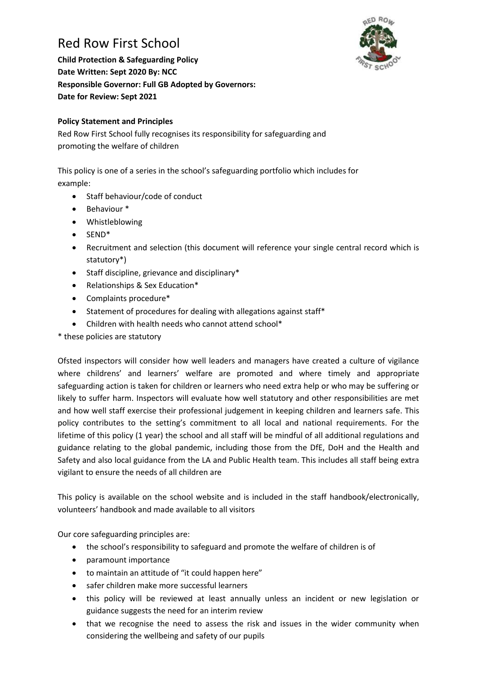# Red Row First School



**Child Protection & Safeguarding Policy Date Written: Sept 2020 By: NCC Responsible Governor: Full GB Adopted by Governors: Date for Review: Sept 2021**

# **Policy Statement and Principles**

Red Row First School fully recognises its responsibility for safeguarding and promoting the welfare of children

This policy is one of a series in the school's safeguarding portfolio which includes for example:

- Staff behaviour/code of conduct
- Behaviour \*
- Whistleblowing
- $\bullet$  SEND\*
- Recruitment and selection (this document will reference your single central record which is statutory\*)
- Staff discipline, grievance and disciplinary\*
- Relationships & Sex Education\*
- Complaints procedure\*
- Statement of procedures for dealing with allegations against staff\*
- Children with health needs who cannot attend school\*

\* these policies are statutory

Ofsted inspectors will consider how well leaders and managers have created a culture of vigilance where childrens' and learners' welfare are promoted and where timely and appropriate safeguarding action is taken for children or learners who need extra help or who may be suffering or likely to suffer harm. Inspectors will evaluate how well statutory and other responsibilities are met and how well staff exercise their professional judgement in keeping children and learners safe. This policy contributes to the setting's commitment to all local and national requirements. For the lifetime of this policy (1 year) the school and all staff will be mindful of all additional regulations and guidance relating to the global pandemic, including those from the DfE, DoH and the Health and Safety and also local guidance from the LA and Public Health team. This includes all staff being extra vigilant to ensure the needs of all children are

This policy is available on the school website and is included in the staff handbook/electronically, volunteers' handbook and made available to all visitors

Our core safeguarding principles are:

- the school's responsibility to safeguard and promote the welfare of children is of
- paramount importance
- to maintain an attitude of "it could happen here"
- safer children make more successful learners
- this policy will be reviewed at least annually unless an incident or new legislation or guidance suggests the need for an interim review
- that we recognise the need to assess the risk and issues in the wider community when considering the wellbeing and safety of our pupils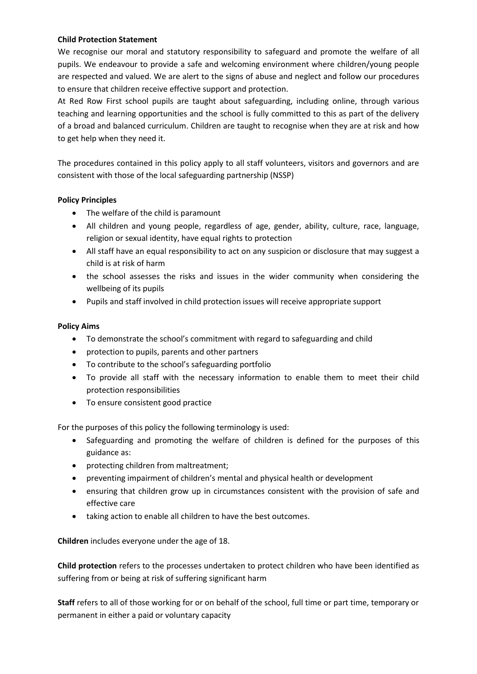#### **Child Protection Statement**

We recognise our moral and statutory responsibility to safeguard and promote the welfare of all pupils. We endeavour to provide a safe and welcoming environment where children/young people are respected and valued. We are alert to the signs of abuse and neglect and follow our procedures to ensure that children receive effective support and protection.

At Red Row First school pupils are taught about safeguarding, including online, through various teaching and learning opportunities and the school is fully committed to this as part of the delivery of a broad and balanced curriculum. Children are taught to recognise when they are at risk and how to get help when they need it.

The procedures contained in this policy apply to all staff volunteers, visitors and governors and are consistent with those of the local safeguarding partnership (NSSP)

#### **Policy Principles**

- The welfare of the child is paramount
- All children and young people, regardless of age, gender, ability, culture, race, language, religion or sexual identity, have equal rights to protection
- All staff have an equal responsibility to act on any suspicion or disclosure that may suggest a child is at risk of harm
- the school assesses the risks and issues in the wider community when considering the wellbeing of its pupils
- Pupils and staff involved in child protection issues will receive appropriate support

#### **Policy Aims**

- To demonstrate the school's commitment with regard to safeguarding and child
- protection to pupils, parents and other partners
- To contribute to the school's safeguarding portfolio
- To provide all staff with the necessary information to enable them to meet their child protection responsibilities
- To ensure consistent good practice

For the purposes of this policy the following terminology is used:

- Safeguarding and promoting the welfare of children is defined for the purposes of this guidance as:
- protecting children from maltreatment;
- preventing impairment of children's mental and physical health or development
- ensuring that children grow up in circumstances consistent with the provision of safe and effective care
- taking action to enable all children to have the best outcomes.

**Children** includes everyone under the age of 18.

**Child protection** refers to the processes undertaken to protect children who have been identified as suffering from or being at risk of suffering significant harm

**Staff** refers to all of those working for or on behalf of the school, full time or part time, temporary or permanent in either a paid or voluntary capacity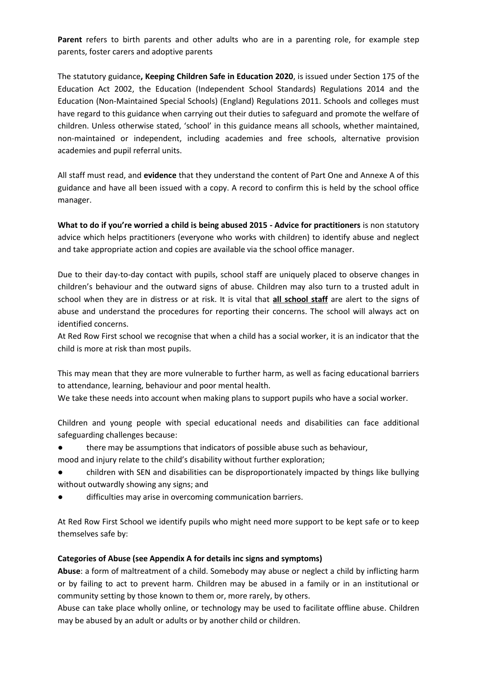**Parent** refers to birth parents and other adults who are in a parenting role, for example step parents, foster carers and adoptive parents

The statutory guidance**, Keeping Children Safe in Education 2020**, is issued under Section 175 of the Education Act 2002, the Education (Independent School Standards) Regulations 2014 and the Education (Non-Maintained Special Schools) (England) Regulations 2011. Schools and colleges must have regard to this guidance when carrying out their duties to safeguard and promote the welfare of children. Unless otherwise stated, 'school' in this guidance means all schools, whether maintained, non-maintained or independent, including academies and free schools, alternative provision academies and pupil referral units.

All staff must read, and **evidence** that they understand the content of Part One and Annexe A of this guidance and have all been issued with a copy. A record to confirm this is held by the school office manager.

**What to do if you're worried a child is being abused 2015 - Advice for practitioners** is non statutory advice which helps practitioners (everyone who works with children) to identify abuse and neglect and take appropriate action and copies are available via the school office manager.

Due to their day-to-day contact with pupils, school staff are uniquely placed to observe changes in children's behaviour and the outward signs of abuse. Children may also turn to a trusted adult in school when they are in distress or at risk. It is vital that **all school staff** are alert to the signs of abuse and understand the procedures for reporting their concerns. The school will always act on identified concerns.

At Red Row First school we recognise that when a child has a social worker, it is an indicator that the child is more at risk than most pupils.

This may mean that they are more vulnerable to further harm, as well as facing educational barriers to attendance, learning, behaviour and poor mental health.

We take these needs into account when making plans to support pupils who have a social worker.

Children and young people with special educational needs and disabilities can face additional safeguarding challenges because:

- there may be assumptions that indicators of possible abuse such as behaviour,
- mood and injury relate to the child's disability without further exploration;
- children with SEN and disabilities can be disproportionately impacted by things like bullying without outwardly showing any signs; and
- difficulties may arise in overcoming communication barriers.

At Red Row First School we identify pupils who might need more support to be kept safe or to keep themselves safe by:

# **Categories of Abuse (see Appendix A for details inc signs and symptoms)**

**Abuse**: a form of maltreatment of a child. Somebody may abuse or neglect a child by inflicting harm or by failing to act to prevent harm. Children may be abused in a family or in an institutional or community setting by those known to them or, more rarely, by others.

Abuse can take place wholly online, or technology may be used to facilitate offline abuse. Children may be abused by an adult or adults or by another child or children.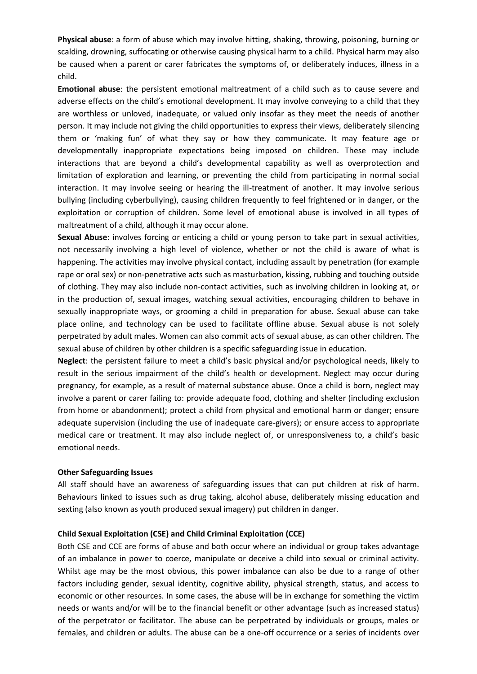**Physical abuse**: a form of abuse which may involve hitting, shaking, throwing, poisoning, burning or scalding, drowning, suffocating or otherwise causing physical harm to a child. Physical harm may also be caused when a parent or carer fabricates the symptoms of, or deliberately induces, illness in a child.

**Emotional abuse**: the persistent emotional maltreatment of a child such as to cause severe and adverse effects on the child's emotional development. It may involve conveying to a child that they are worthless or unloved, inadequate, or valued only insofar as they meet the needs of another person. It may include not giving the child opportunities to express their views, deliberately silencing them or 'making fun' of what they say or how they communicate. It may feature age or developmentally inappropriate expectations being imposed on children. These may include interactions that are beyond a child's developmental capability as well as overprotection and limitation of exploration and learning, or preventing the child from participating in normal social interaction. It may involve seeing or hearing the ill-treatment of another. It may involve serious bullying (including cyberbullying), causing children frequently to feel frightened or in danger, or the exploitation or corruption of children. Some level of emotional abuse is involved in all types of maltreatment of a child, although it may occur alone.

**Sexual Abuse**: involves forcing or enticing a child or young person to take part in sexual activities, not necessarily involving a high level of violence, whether or not the child is aware of what is happening. The activities may involve physical contact, including assault by penetration (for example rape or oral sex) or non-penetrative acts such as masturbation, kissing, rubbing and touching outside of clothing. They may also include non-contact activities, such as involving children in looking at, or in the production of, sexual images, watching sexual activities, encouraging children to behave in sexually inappropriate ways, or grooming a child in preparation for abuse. Sexual abuse can take place online, and technology can be used to facilitate offline abuse. Sexual abuse is not solely perpetrated by adult males. Women can also commit acts of sexual abuse, as can other children. The sexual abuse of children by other children is a specific safeguarding issue in education.

**Neglect**: the persistent failure to meet a child's basic physical and/or psychological needs, likely to result in the serious impairment of the child's health or development. Neglect may occur during pregnancy, for example, as a result of maternal substance abuse. Once a child is born, neglect may involve a parent or carer failing to: provide adequate food, clothing and shelter (including exclusion from home or abandonment); protect a child from physical and emotional harm or danger; ensure adequate supervision (including the use of inadequate care-givers); or ensure access to appropriate medical care or treatment. It may also include neglect of, or unresponsiveness to, a child's basic emotional needs.

#### **Other Safeguarding Issues**

All staff should have an awareness of safeguarding issues that can put children at risk of harm. Behaviours linked to issues such as drug taking, alcohol abuse, deliberately missing education and sexting (also known as youth produced sexual imagery) put children in danger.

#### **Child Sexual Exploitation (CSE) and Child Criminal Exploitation (CCE)**

Both CSE and CCE are forms of abuse and both occur where an individual or group takes advantage of an imbalance in power to coerce, manipulate or deceive a child into sexual or criminal activity. Whilst age may be the most obvious, this power imbalance can also be due to a range of other factors including gender, sexual identity, cognitive ability, physical strength, status, and access to economic or other resources. In some cases, the abuse will be in exchange for something the victim needs or wants and/or will be to the financial benefit or other advantage (such as increased status) of the perpetrator or facilitator. The abuse can be perpetrated by individuals or groups, males or females, and children or adults. The abuse can be a one-off occurrence or a series of incidents over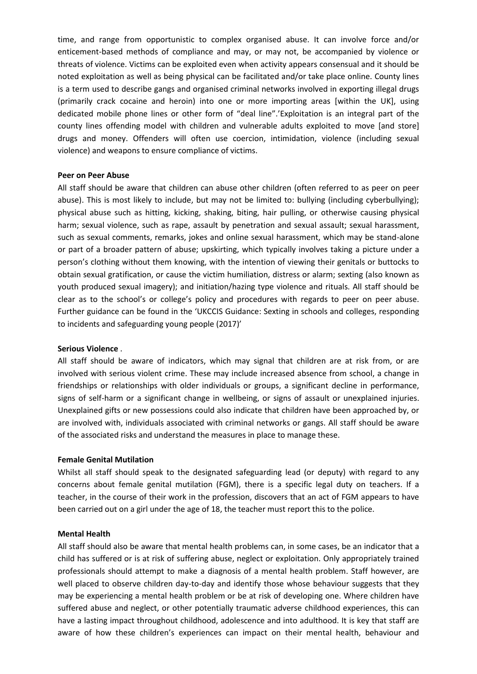time, and range from opportunistic to complex organised abuse. It can involve force and/or enticement-based methods of compliance and may, or may not, be accompanied by violence or threats of violence. Victims can be exploited even when activity appears consensual and it should be noted exploitation as well as being physical can be facilitated and/or take place online. County lines is a term used to describe gangs and organised criminal networks involved in exporting illegal drugs (primarily crack cocaine and heroin) into one or more importing areas [within the UK], using dedicated mobile phone lines or other form of "deal line".'Exploitation is an integral part of the county lines offending model with children and vulnerable adults exploited to move [and store] drugs and money. Offenders will often use coercion, intimidation, violence (including sexual violence) and weapons to ensure compliance of victims.

#### **Peer on Peer Abuse**

All staff should be aware that children can abuse other children (often referred to as peer on peer abuse). This is most likely to include, but may not be limited to: bullying (including cyberbullying); physical abuse such as hitting, kicking, shaking, biting, hair pulling, or otherwise causing physical harm; sexual violence, such as rape, assault by penetration and sexual assault; sexual harassment, such as sexual comments, remarks, jokes and online sexual harassment, which may be stand-alone or part of a broader pattern of abuse; upskirting, which typically involves taking a picture under a person's clothing without them knowing, with the intention of viewing their genitals or buttocks to obtain sexual gratification, or cause the victim humiliation, distress or alarm; sexting (also known as youth produced sexual imagery); and initiation/hazing type violence and rituals. All staff should be clear as to the school's or college's policy and procedures with regards to peer on peer abuse. Further guidance can be found in the 'UKCCIS Guidance: Sexting in schools and colleges, responding to incidents and safeguarding young people (2017)'

#### **Serious Violence** .

All staff should be aware of indicators, which may signal that children are at risk from, or are involved with serious violent crime. These may include increased absence from school, a change in friendships or relationships with older individuals or groups, a significant decline in performance, signs of self-harm or a significant change in wellbeing, or signs of assault or unexplained injuries. Unexplained gifts or new possessions could also indicate that children have been approached by, or are involved with, individuals associated with criminal networks or gangs. All staff should be aware of the associated risks and understand the measures in place to manage these.

#### **Female Genital Mutilation**

Whilst all staff should speak to the designated safeguarding lead (or deputy) with regard to any concerns about female genital mutilation (FGM), there is a specific legal duty on teachers. If a teacher, in the course of their work in the profession, discovers that an act of FGM appears to have been carried out on a girl under the age of 18, the teacher must report this to the police.

#### **Mental Health**

All staff should also be aware that mental health problems can, in some cases, be an indicator that a child has suffered or is at risk of suffering abuse, neglect or exploitation. Only appropriately trained professionals should attempt to make a diagnosis of a mental health problem. Staff however, are well placed to observe children day-to-day and identify those whose behaviour suggests that they may be experiencing a mental health problem or be at risk of developing one. Where children have suffered abuse and neglect, or other potentially traumatic adverse childhood experiences, this can have a lasting impact throughout childhood, adolescence and into adulthood. It is key that staff are aware of how these children's experiences can impact on their mental health, behaviour and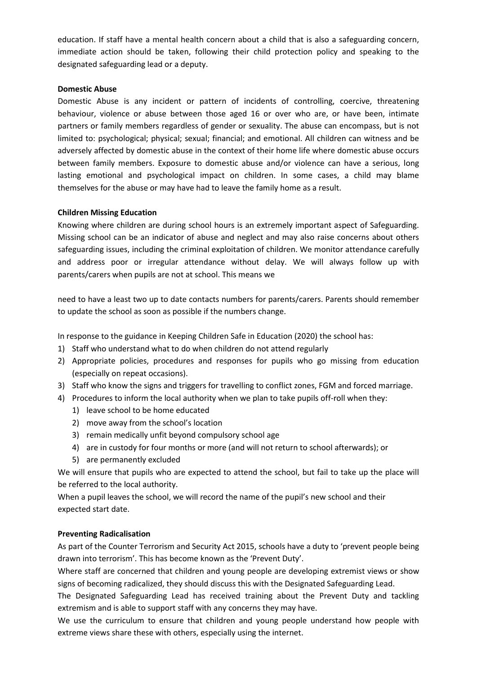education. If staff have a mental health concern about a child that is also a safeguarding concern, immediate action should be taken, following their child protection policy and speaking to the designated safeguarding lead or a deputy.

#### **Domestic Abuse**

Domestic Abuse is any incident or pattern of incidents of controlling, coercive, threatening behaviour, violence or abuse between those aged 16 or over who are, or have been, intimate partners or family members regardless of gender or sexuality. The abuse can encompass, but is not limited to: psychological; physical; sexual; financial; and emotional. All children can witness and be adversely affected by domestic abuse in the context of their home life where domestic abuse occurs between family members. Exposure to domestic abuse and/or violence can have a serious, long lasting emotional and psychological impact on children. In some cases, a child may blame themselves for the abuse or may have had to leave the family home as a result.

#### **Children Missing Education**

Knowing where children are during school hours is an extremely important aspect of Safeguarding. Missing school can be an indicator of abuse and neglect and may also raise concerns about others safeguarding issues, including the criminal exploitation of children. We monitor attendance carefully and address poor or irregular attendance without delay. We will always follow up with parents/carers when pupils are not at school. This means we

need to have a least two up to date contacts numbers for parents/carers. Parents should remember to update the school as soon as possible if the numbers change.

In response to the guidance in Keeping Children Safe in Education (2020) the school has:

- 1) Staff who understand what to do when children do not attend regularly
- 2) Appropriate policies, procedures and responses for pupils who go missing from education (especially on repeat occasions).
- 3) Staff who know the signs and triggers for travelling to conflict zones, FGM and forced marriage.
- 4) Procedures to inform the local authority when we plan to take pupils off-roll when they:
	- 1) leave school to be home educated
	- 2) move away from the school's location
	- 3) remain medically unfit beyond compulsory school age
	- 4) are in custody for four months or more (and will not return to school afterwards); or
	- 5) are permanently excluded

We will ensure that pupils who are expected to attend the school, but fail to take up the place will be referred to the local authority.

When a pupil leaves the school, we will record the name of the pupil's new school and their expected start date.

# **Preventing Radicalisation**

As part of the Counter Terrorism and Security Act 2015, schools have a duty to 'prevent people being drawn into terrorism'. This has become known as the 'Prevent Duty'.

Where staff are concerned that children and young people are developing extremist views or show signs of becoming radicalized, they should discuss this with the Designated Safeguarding Lead.

The Designated Safeguarding Lead has received training about the Prevent Duty and tackling extremism and is able to support staff with any concerns they may have.

We use the curriculum to ensure that children and young people understand how people with extreme views share these with others, especially using the internet.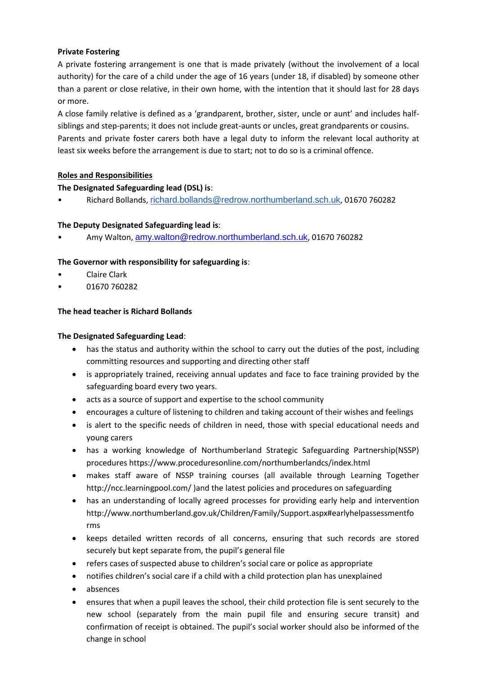# **Private Fostering**

A private fostering arrangement is one that is made privately (without the involvement of a local authority) for the care of a child under the age of 16 years (under 18, if disabled) by someone other than a parent or close relative, in their own home, with the intention that it should last for 28 days or more.

A close family relative is defined as a 'grandparent, brother, sister, uncle or aunt' and includes halfsiblings and step-parents; it does not include great-aunts or uncles, great grandparents or cousins. Parents and private foster carers both have a legal duty to inform the relevant local authority at least six weeks before the arrangement is due to start; not to do so is a criminal offence.

# **Roles and Responsibilities**

# **The Designated Safeguarding lead (DSL) is**:

• Richard Bollands, [richard.bollands@redrow.northumberland.sch.uk](mailto:richard.bollands@redrow.northumberland.sch.uk), 01670 760282

# **The Deputy Designated Safeguarding lead is**:

• Amy Walton, [amy.walton@redrow.northumberland.sch.uk](mailto:amy.walton@redrow.northumberland.sch.uk), 01670 760282

# **The Governor with responsibility for safeguarding is**:

- Claire Clark
- 01670 760282

# **The head teacher is Richard Bollands**

# **The Designated Safeguarding Lead**:

- has the status and authority within the school to carry out the duties of the post, including committing resources and supporting and directing other staff
- is appropriately trained, receiving annual updates and face to face training provided by the safeguarding board every two years.
- acts as a source of support and expertise to the school community
- encourages a culture of listening to children and taking account of their wishes and feelings
- is alert to the specific needs of children in need, those with special educational needs and young carers
- has a working knowledge of Northumberland Strategic Safeguarding Partnership(NSSP) procedures https://www.proceduresonline.com/northumberlandcs/index.html
- makes staff aware of NSSP training courses (all available through Learning Together http://ncc.learningpool.com/ )and the latest policies and procedures on safeguarding
- has an understanding of locally agreed processes for providing early help and intervention http://www.northumberland.gov.uk/Children/Family/Support.aspx#earlyhelpassessmentfo rms
- keeps detailed written records of all concerns, ensuring that such records are stored securely but kept separate from, the pupil's general file
- refers cases of suspected abuse to children's social care or police as appropriate
- notifies children's social care if a child with a child protection plan has unexplained
- absences
- ensures that when a pupil leaves the school, their child protection file is sent securely to the new school (separately from the main pupil file and ensuring secure transit) and confirmation of receipt is obtained. The pupil's social worker should also be informed of the change in school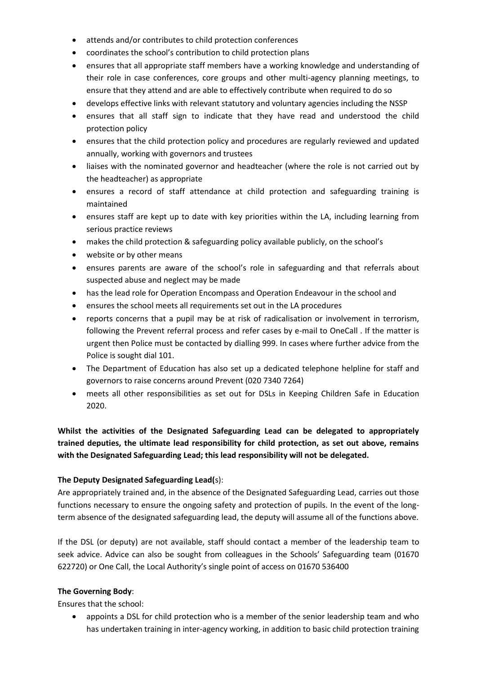- attends and/or contributes to child protection conferences
- coordinates the school's contribution to child protection plans
- ensures that all appropriate staff members have a working knowledge and understanding of their role in case conferences, core groups and other multi-agency planning meetings, to ensure that they attend and are able to effectively contribute when required to do so
- develops effective links with relevant statutory and voluntary agencies including the NSSP
- ensures that all staff sign to indicate that they have read and understood the child protection policy
- ensures that the child protection policy and procedures are regularly reviewed and updated annually, working with governors and trustees
- liaises with the nominated governor and headteacher (where the role is not carried out by the headteacher) as appropriate
- ensures a record of staff attendance at child protection and safeguarding training is maintained
- ensures staff are kept up to date with key priorities within the LA, including learning from serious practice reviews
- makes the child protection & safeguarding policy available publicly, on the school's
- website or by other means
- ensures parents are aware of the school's role in safeguarding and that referrals about suspected abuse and neglect may be made
- has the lead role for Operation Encompass and Operation Endeavour in the school and
- ensures the school meets all requirements set out in the LA procedures
- reports concerns that a pupil may be at risk of radicalisation or involvement in terrorism, following the Prevent referral process and refer cases by e-mail to OneCall . If the matter is urgent then Police must be contacted by dialling 999. In cases where further advice from the Police is sought dial 101.
- The Department of Education has also set up a dedicated telephone helpline for staff and governors to raise concerns around Prevent (020 7340 7264)
- meets all other responsibilities as set out for DSLs in Keeping Children Safe in Education 2020.

**Whilst the activities of the Designated Safeguarding Lead can be delegated to appropriately trained deputies, the ultimate lead responsibility for child protection, as set out above, remains with the Designated Safeguarding Lead; this lead responsibility will not be delegated.**

# **The Deputy Designated Safeguarding Lead(**s):

Are appropriately trained and, in the absence of the Designated Safeguarding Lead, carries out those functions necessary to ensure the ongoing safety and protection of pupils. In the event of the longterm absence of the designated safeguarding lead, the deputy will assume all of the functions above.

If the DSL (or deputy) are not available, staff should contact a member of the leadership team to seek advice. Advice can also be sought from colleagues in the Schools' Safeguarding team (01670 622720) or One Call, the Local Authority's single point of access on 01670 536400

# **The Governing Body**:

Ensures that the school:

 appoints a DSL for child protection who is a member of the senior leadership team and who has undertaken training in inter-agency working, in addition to basic child protection training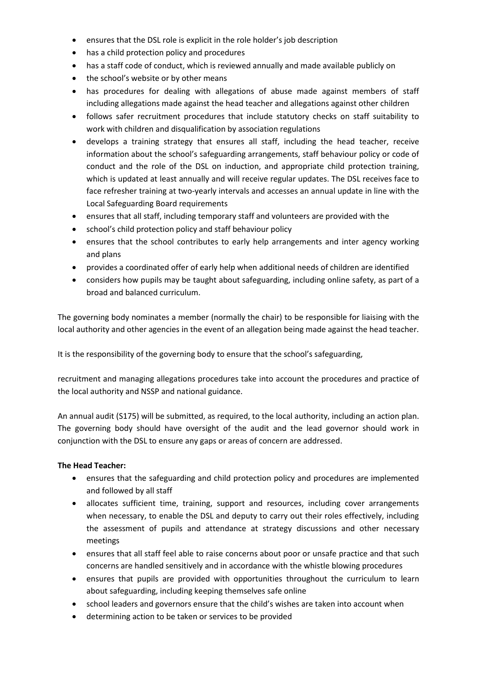- ensures that the DSL role is explicit in the role holder's job description
- has a child protection policy and procedures
- has a staff code of conduct, which is reviewed annually and made available publicly on
- the school's website or by other means
- has procedures for dealing with allegations of abuse made against members of staff including allegations made against the head teacher and allegations against other children
- follows safer recruitment procedures that include statutory checks on staff suitability to work with children and disqualification by association regulations
- develops a training strategy that ensures all staff, including the head teacher, receive information about the school's safeguarding arrangements, staff behaviour policy or code of conduct and the role of the DSL on induction, and appropriate child protection training, which is updated at least annually and will receive regular updates. The DSL receives face to face refresher training at two-yearly intervals and accesses an annual update in line with the Local Safeguarding Board requirements
- ensures that all staff, including temporary staff and volunteers are provided with the
- school's child protection policy and staff behaviour policy
- ensures that the school contributes to early help arrangements and inter agency working and plans
- provides a coordinated offer of early help when additional needs of children are identified
- considers how pupils may be taught about safeguarding, including online safety, as part of a broad and balanced curriculum.

The governing body nominates a member (normally the chair) to be responsible for liaising with the local authority and other agencies in the event of an allegation being made against the head teacher.

It is the responsibility of the governing body to ensure that the school's safeguarding,

recruitment and managing allegations procedures take into account the procedures and practice of the local authority and NSSP and national guidance.

An annual audit (S175) will be submitted, as required, to the local authority, including an action plan. The governing body should have oversight of the audit and the lead governor should work in conjunction with the DSL to ensure any gaps or areas of concern are addressed.

# **The Head Teacher:**

- ensures that the safeguarding and child protection policy and procedures are implemented and followed by all staff
- allocates sufficient time, training, support and resources, including cover arrangements when necessary, to enable the DSL and deputy to carry out their roles effectively, including the assessment of pupils and attendance at strategy discussions and other necessary meetings
- ensures that all staff feel able to raise concerns about poor or unsafe practice and that such concerns are handled sensitively and in accordance with the whistle blowing procedures
- ensures that pupils are provided with opportunities throughout the curriculum to learn about safeguarding, including keeping themselves safe online
- school leaders and governors ensure that the child's wishes are taken into account when
- determining action to be taken or services to be provided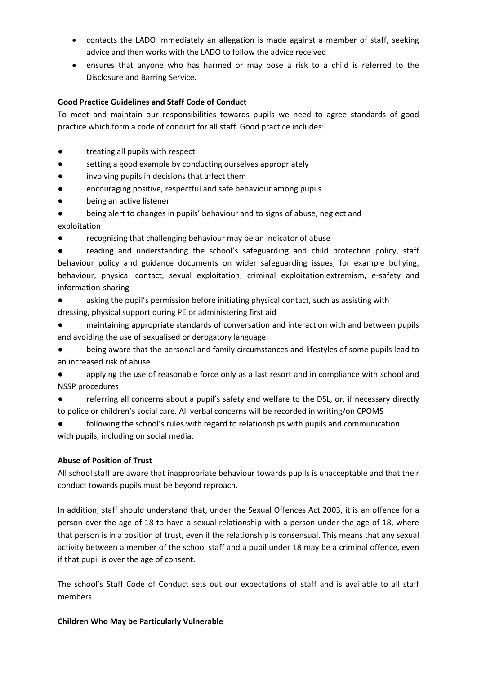- contacts the LADO immediately an allegation is made against a member of staff, seeking advice and then works with the LADO to follow the advice received
- ensures that anyone who has harmed or may pose a risk to a child is referred to the Disclosure and Barring Service.

# **Good Practice Guidelines and Staff Code of Conduct**

To meet and maintain our responsibilities towards pupils we need to agree standards of good practice which form a code of conduct for all staff. Good practice includes:

- treating all pupils with respect
- setting a good example by conducting ourselves appropriately
- involving pupils in decisions that affect them
- encouraging positive, respectful and safe behaviour among pupils
- being an active listener

being alert to changes in pupils' behaviour and to signs of abuse, neglect and exploitation

recognising that challenging behaviour may be an indicator of abuse

reading and understanding the school's safeguarding and child protection policy, staff behaviour policy and guidance documents on wider safeguarding issues, for example bullying, behaviour, physical contact, sexual exploitation, criminal exploitation,extremism, e-safety and information-sharing

asking the pupil's permission before initiating physical contact, such as assisting with dressing, physical support during PE or administering first aid

maintaining appropriate standards of conversation and interaction with and between pupils and avoiding the use of sexualised or derogatory language

being aware that the personal and family circumstances and lifestyles of some pupils lead to an increased risk of abuse

applying the use of reasonable force only as a last resort and in compliance with school and NSSP procedures

referring all concerns about a pupil's safety and welfare to the DSL, or, if necessary directly to police or children's social care. All verbal concerns will be recorded in writing/on CPOMS

following the school's rules with regard to relationships with pupils and communication with pupils, including on social media.

#### **Abuse of Position of Trust**

All school staff are aware that inappropriate behaviour towards pupils is unacceptable and that their conduct towards pupils must be beyond reproach.

In addition, staff should understand that, under the Sexual Offences Act 2003, it is an offence for a person over the age of 18 to have a sexual relationship with a person under the age of 18, where that person is in a position of trust, even if the relationship is consensual. This means that any sexual activity between a member of the school staff and a pupil under 18 may be a criminal offence, even if that pupil is over the age of consent.

The school's Staff Code of Conduct sets out our expectations of staff and is available to all staff members.

#### **Children Who May be Particularly Vulnerable**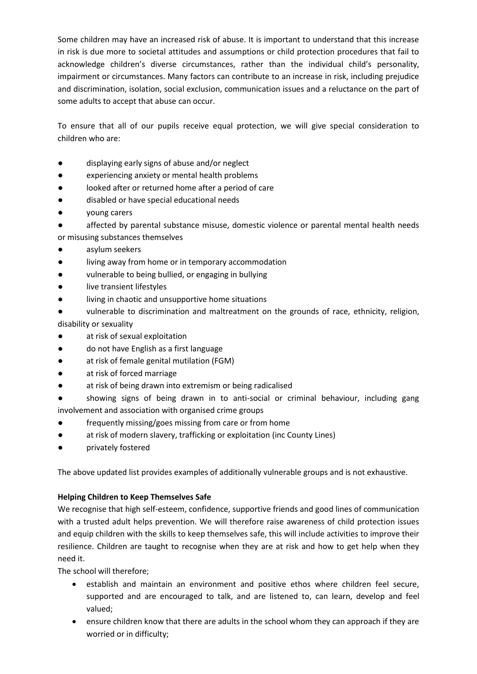Some children may have an increased risk of abuse. It is important to understand that this increase in risk is due more to societal attitudes and assumptions or child protection procedures that fail to acknowledge children's diverse circumstances, rather than the individual child's personality, impairment or circumstances. Many factors can contribute to an increase in risk, including prejudice and discrimination, isolation, social exclusion, communication issues and a reluctance on the part of some adults to accept that abuse can occur.

To ensure that all of our pupils receive equal protection, we will give special consideration to children who are:

- displaying early signs of abuse and/or neglect
- experiencing anxiety or mental health problems
- looked after or returned home after a period of care
- disabled or have special educational needs
- young carers
- affected by parental substance misuse, domestic violence or parental mental health needs or misusing substances themselves
- asylum seekers
- living away from home or in temporary accommodation
- vulnerable to being bullied, or engaging in bullying
- live transient lifestyles
- living in chaotic and unsupportive home situations
- vulnerable to discrimination and maltreatment on the grounds of race, ethnicity, religion, disability or sexuality
- at risk of sexual exploitation
- do not have English as a first language
- at risk of female genital mutilation (FGM)
- at risk of forced marriage
- at risk of being drawn into extremism or being radicalised
- showing signs of being drawn in to anti-social or criminal behaviour, including gang involvement and association with organised crime groups
- frequently missing/goes missing from care or from home
- at risk of modern slavery, trafficking or exploitation (inc County Lines)
- privately fostered

The above updated list provides examples of additionally vulnerable groups and is not exhaustive.

# **Helping Children to Keep Themselves Safe**

We recognise that high self-esteem, confidence, supportive friends and good lines of communication with a trusted adult helps prevention. We will therefore raise awareness of child protection issues and equip children with the skills to keep themselves safe, this will include activities to improve their resilience. Children are taught to recognise when they are at risk and how to get help when they need it.

The school will therefore;

- establish and maintain an environment and positive ethos where children feel secure, supported and are encouraged to talk, and are listened to, can learn, develop and feel valued;
- ensure children know that there are adults in the school whom they can approach if they are worried or in difficulty;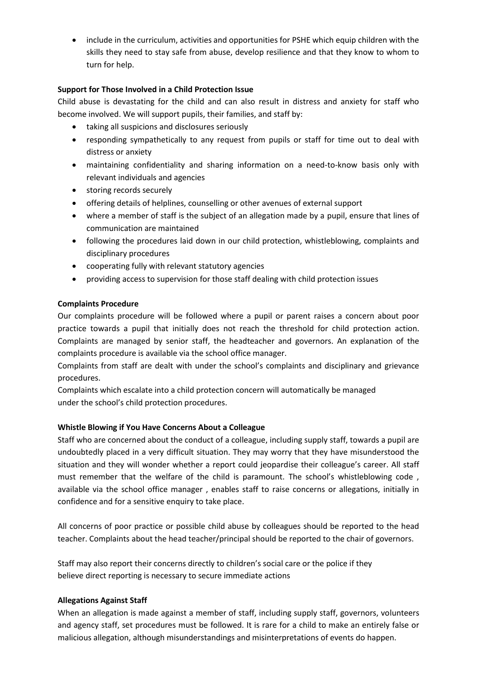include in the curriculum, activities and opportunities for PSHE which equip children with the skills they need to stay safe from abuse, develop resilience and that they know to whom to turn for help.

# **Support for Those Involved in a Child Protection Issue**

Child abuse is devastating for the child and can also result in distress and anxiety for staff who become involved. We will support pupils, their families, and staff by:

- taking all suspicions and disclosures seriously
- responding sympathetically to any request from pupils or staff for time out to deal with distress or anxiety
- maintaining confidentiality and sharing information on a need-to-know basis only with relevant individuals and agencies
- storing records securely
- offering details of helplines, counselling or other avenues of external support
- where a member of staff is the subject of an allegation made by a pupil, ensure that lines of communication are maintained
- following the procedures laid down in our child protection, whistleblowing, complaints and disciplinary procedures
- cooperating fully with relevant statutory agencies
- providing access to supervision for those staff dealing with child protection issues

# **Complaints Procedure**

Our complaints procedure will be followed where a pupil or parent raises a concern about poor practice towards a pupil that initially does not reach the threshold for child protection action. Complaints are managed by senior staff, the headteacher and governors. An explanation of the complaints procedure is available via the school office manager.

Complaints from staff are dealt with under the school's complaints and disciplinary and grievance procedures.

Complaints which escalate into a child protection concern will automatically be managed under the school's child protection procedures.

# **Whistle Blowing if You Have Concerns About a Colleague**

Staff who are concerned about the conduct of a colleague, including supply staff, towards a pupil are undoubtedly placed in a very difficult situation. They may worry that they have misunderstood the situation and they will wonder whether a report could jeopardise their colleague's career. All staff must remember that the welfare of the child is paramount. The school's whistleblowing code, available via the school office manager , enables staff to raise concerns or allegations, initially in confidence and for a sensitive enquiry to take place.

All concerns of poor practice or possible child abuse by colleagues should be reported to the head teacher. Complaints about the head teacher/principal should be reported to the chair of governors.

Staff may also report their concerns directly to children's social care or the police if they believe direct reporting is necessary to secure immediate actions

# **Allegations Against Staff**

When an allegation is made against a member of staff, including supply staff, governors, volunteers and agency staff, set procedures must be followed. It is rare for a child to make an entirely false or malicious allegation, although misunderstandings and misinterpretations of events do happen.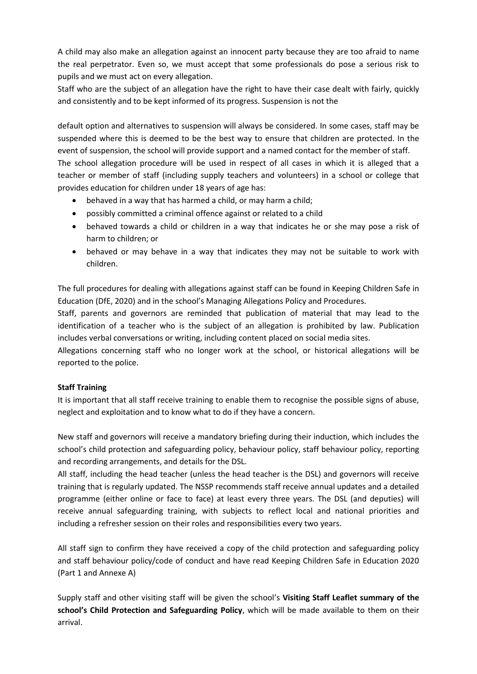A child may also make an allegation against an innocent party because they are too afraid to name the real perpetrator. Even so, we must accept that some professionals do pose a serious risk to pupils and we must act on every allegation.

Staff who are the subject of an allegation have the right to have their case dealt with fairly, quickly and consistently and to be kept informed of its progress. Suspension is not the

default option and alternatives to suspension will always be considered. In some cases, staff may be suspended where this is deemed to be the best way to ensure that children are protected. In the event of suspension, the school will provide support and a named contact for the member of staff. The school allegation procedure will be used in respect of all cases in which it is alleged that a teacher or member of staff (including supply teachers and volunteers) in a school or college that provides education for children under 18 years of age has:

- behaved in a way that has harmed a child, or may harm a child;
- possibly committed a criminal offence against or related to a child
- behaved towards a child or children in a way that indicates he or she may pose a risk of harm to children; or
- behaved or may behave in a way that indicates they may not be suitable to work with children.

The full procedures for dealing with allegations against staff can be found in Keeping Children Safe in Education (DfE, 2020) and in the school's Managing Allegations Policy and Procedures.

Staff, parents and governors are reminded that publication of material that may lead to the identification of a teacher who is the subject of an allegation is prohibited by law. Publication includes verbal conversations or writing, including content placed on social media sites.

Allegations concerning staff who no longer work at the school, or historical allegations will be reported to the police.

# **Staff Training**

It is important that all staff receive training to enable them to recognise the possible signs of abuse, neglect and exploitation and to know what to do if they have a concern.

New staff and governors will receive a mandatory briefing during their induction, which includes the school's child protection and safeguarding policy, behaviour policy, staff behaviour policy, reporting and recording arrangements, and details for the DSL.

All staff, including the head teacher (unless the head teacher is the DSL) and governors will receive training that is regularly updated. The NSSP recommends staff receive annual updates and a detailed programme (either online or face to face) at least every three years. The DSL (and deputies) will receive annual safeguarding training, with subjects to reflect local and national priorities and including a refresher session on their roles and responsibilities every two years.

All staff sign to confirm they have received a copy of the child protection and safeguarding policy and staff behaviour policy/code of conduct and have read Keeping Children Safe in Education 2020 (Part 1 and Annexe A)

Supply staff and other visiting staff will be given the school's **Visiting Staff Leaflet summary of the school's Child Protection and Safeguarding Policy**, which will be made available to them on their arrival.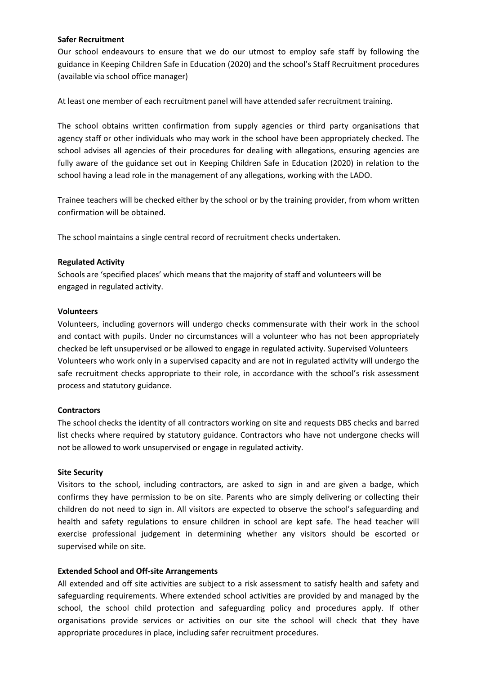#### **Safer Recruitment**

Our school endeavours to ensure that we do our utmost to employ safe staff by following the guidance in Keeping Children Safe in Education (2020) and the school's Staff Recruitment procedures (available via school office manager)

At least one member of each recruitment panel will have attended safer recruitment training.

The school obtains written confirmation from supply agencies or third party organisations that agency staff or other individuals who may work in the school have been appropriately checked. The school advises all agencies of their procedures for dealing with allegations, ensuring agencies are fully aware of the guidance set out in Keeping Children Safe in Education (2020) in relation to the school having a lead role in the management of any allegations, working with the LADO.

Trainee teachers will be checked either by the school or by the training provider, from whom written confirmation will be obtained.

The school maintains a single central record of recruitment checks undertaken.

#### **Regulated Activity**

Schools are 'specified places' which means that the majority of staff and volunteers will be engaged in regulated activity.

#### **Volunteers**

Volunteers, including governors will undergo checks commensurate with their work in the school and contact with pupils. Under no circumstances will a volunteer who has not been appropriately checked be left unsupervised or be allowed to engage in regulated activity. Supervised Volunteers Volunteers who work only in a supervised capacity and are not in regulated activity will undergo the safe recruitment checks appropriate to their role, in accordance with the school's risk assessment process and statutory guidance.

#### **Contractors**

The school checks the identity of all contractors working on site and requests DBS checks and barred list checks where required by statutory guidance. Contractors who have not undergone checks will not be allowed to work unsupervised or engage in regulated activity.

#### **Site Security**

Visitors to the school, including contractors, are asked to sign in and are given a badge, which confirms they have permission to be on site. Parents who are simply delivering or collecting their children do not need to sign in. All visitors are expected to observe the school's safeguarding and health and safety regulations to ensure children in school are kept safe. The head teacher will exercise professional judgement in determining whether any visitors should be escorted or supervised while on site.

#### **Extended School and Off-site Arrangements**

All extended and off site activities are subject to a risk assessment to satisfy health and safety and safeguarding requirements. Where extended school activities are provided by and managed by the school, the school child protection and safeguarding policy and procedures apply. If other organisations provide services or activities on our site the school will check that they have appropriate procedures in place, including safer recruitment procedures.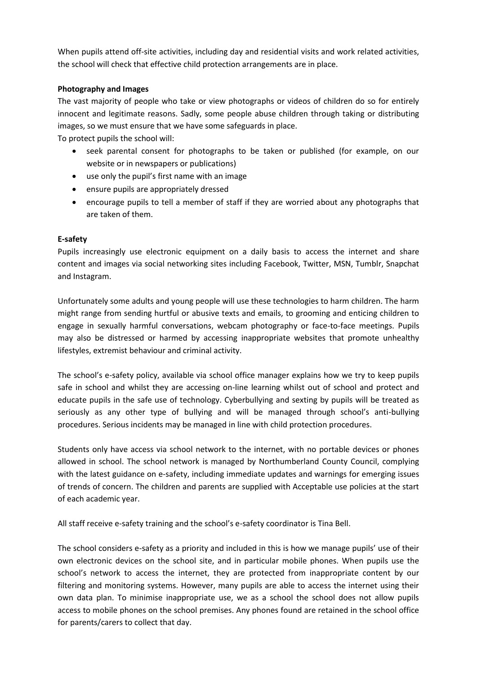When pupils attend off-site activities, including day and residential visits and work related activities, the school will check that effective child protection arrangements are in place.

# **Photography and Images**

The vast majority of people who take or view photographs or videos of children do so for entirely innocent and legitimate reasons. Sadly, some people abuse children through taking or distributing images, so we must ensure that we have some safeguards in place.

To protect pupils the school will:

- seek parental consent for photographs to be taken or published (for example, on our website or in newspapers or publications)
- use only the pupil's first name with an image
- ensure pupils are appropriately dressed
- encourage pupils to tell a member of staff if they are worried about any photographs that are taken of them.

#### **E-safety**

Pupils increasingly use electronic equipment on a daily basis to access the internet and share content and images via social networking sites including Facebook, Twitter, MSN, Tumblr, Snapchat and Instagram.

Unfortunately some adults and young people will use these technologies to harm children. The harm might range from sending hurtful or abusive texts and emails, to grooming and enticing children to engage in sexually harmful conversations, webcam photography or face-to-face meetings. Pupils may also be distressed or harmed by accessing inappropriate websites that promote unhealthy lifestyles, extremist behaviour and criminal activity.

The school's e-safety policy, available via school office manager explains how we try to keep pupils safe in school and whilst they are accessing on-line learning whilst out of school and protect and educate pupils in the safe use of technology. Cyberbullying and sexting by pupils will be treated as seriously as any other type of bullying and will be managed through school's anti-bullying procedures. Serious incidents may be managed in line with child protection procedures.

Students only have access via school network to the internet, with no portable devices or phones allowed in school. The school network is managed by Northumberland County Council, complying with the latest guidance on e-safety, including immediate updates and warnings for emerging issues of trends of concern. The children and parents are supplied with Acceptable use policies at the start of each academic year.

All staff receive e-safety training and the school's e-safety coordinator is Tina Bell.

The school considers e-safety as a priority and included in this is how we manage pupils' use of their own electronic devices on the school site, and in particular mobile phones. When pupils use the school's network to access the internet, they are protected from inappropriate content by our filtering and monitoring systems. However, many pupils are able to access the internet using their own data plan. To minimise inappropriate use, we as a school the school does not allow pupils access to mobile phones on the school premises. Any phones found are retained in the school office for parents/carers to collect that day.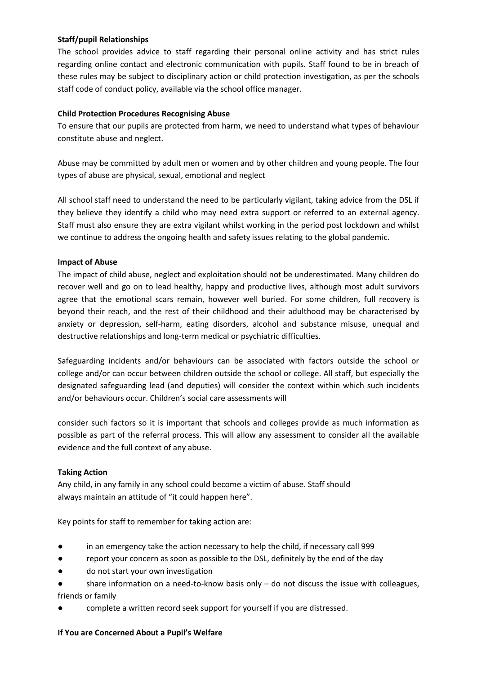#### **Staff/pupil Relationships**

The school provides advice to staff regarding their personal online activity and has strict rules regarding online contact and electronic communication with pupils. Staff found to be in breach of these rules may be subject to disciplinary action or child protection investigation, as per the schools staff code of conduct policy, available via the school office manager.

#### **Child Protection Procedures Recognising Abuse**

To ensure that our pupils are protected from harm, we need to understand what types of behaviour constitute abuse and neglect.

Abuse may be committed by adult men or women and by other children and young people. The four types of abuse are physical, sexual, emotional and neglect

All school staff need to understand the need to be particularly vigilant, taking advice from the DSL if they believe they identify a child who may need extra support or referred to an external agency. Staff must also ensure they are extra vigilant whilst working in the period post lockdown and whilst we continue to address the ongoing health and safety issues relating to the global pandemic.

#### **Impact of Abuse**

The impact of child abuse, neglect and exploitation should not be underestimated. Many children do recover well and go on to lead healthy, happy and productive lives, although most adult survivors agree that the emotional scars remain, however well buried. For some children, full recovery is beyond their reach, and the rest of their childhood and their adulthood may be characterised by anxiety or depression, self-harm, eating disorders, alcohol and substance misuse, unequal and destructive relationships and long-term medical or psychiatric difficulties.

Safeguarding incidents and/or behaviours can be associated with factors outside the school or college and/or can occur between children outside the school or college. All staff, but especially the designated safeguarding lead (and deputies) will consider the context within which such incidents and/or behaviours occur. Children's social care assessments will

consider such factors so it is important that schools and colleges provide as much information as possible as part of the referral process. This will allow any assessment to consider all the available evidence and the full context of any abuse.

#### **Taking Action**

Any child, in any family in any school could become a victim of abuse. Staff should always maintain an attitude of "it could happen here".

Key points for staff to remember for taking action are:

- in an emergency take the action necessary to help the child, if necessary call 999
- report your concern as soon as possible to the DSL, definitely by the end of the day
- do not start your own investigation
- share information on a need-to-know basis only  $-$  do not discuss the issue with colleagues, friends or family
- complete a written record seek support for yourself if you are distressed.

#### **If You are Concerned About a Pupil's Welfare**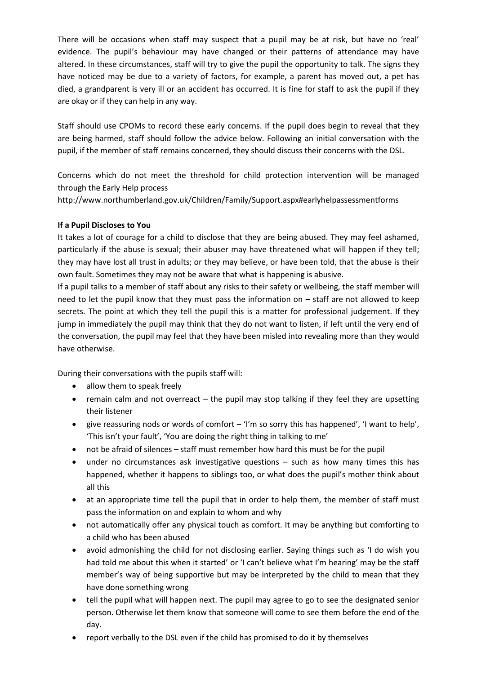There will be occasions when staff may suspect that a pupil may be at risk, but have no 'real' evidence. The pupil's behaviour may have changed or their patterns of attendance may have altered. In these circumstances, staff will try to give the pupil the opportunity to talk. The signs they have noticed may be due to a variety of factors, for example, a parent has moved out, a pet has died, a grandparent is very ill or an accident has occurred. It is fine for staff to ask the pupil if they are okay or if they can help in any way.

Staff should use CPOMs to record these early concerns. If the pupil does begin to reveal that they are being harmed, staff should follow the advice below. Following an initial conversation with the pupil, if the member of staff remains concerned, they should discuss their concerns with the DSL.

Concerns which do not meet the threshold for child protection intervention will be managed through the Early Help process

http://www.northumberland.gov.uk/Children/Family/Support.aspx#earlyhelpassessmentforms

#### **If a Pupil Discloses to You**

It takes a lot of courage for a child to disclose that they are being abused. They may feel ashamed, particularly if the abuse is sexual; their abuser may have threatened what will happen if they tell; they may have lost all trust in adults; or they may believe, or have been told, that the abuse is their own fault. Sometimes they may not be aware that what is happening is abusive.

If a pupil talks to a member of staff about any risks to their safety or wellbeing, the staff member will need to let the pupil know that they must pass the information on – staff are not allowed to keep secrets. The point at which they tell the pupil this is a matter for professional judgement. If they jump in immediately the pupil may think that they do not want to listen, if left until the very end of the conversation, the pupil may feel that they have been misled into revealing more than they would have otherwise.

During their conversations with the pupils staff will:

- allow them to speak freely
- remain calm and not overreact the pupil may stop talking if they feel they are upsetting their listener
- give reassuring nods or words of comfort 'I'm so sorry this has happened', 'I want to help', 'This isn't your fault', 'You are doing the right thing in talking to me'
- not be afraid of silences staff must remember how hard this must be for the pupil
- under no circumstances ask investigative questions such as how many times this has happened, whether it happens to siblings too, or what does the pupil's mother think about all this
- at an appropriate time tell the pupil that in order to help them, the member of staff must pass the information on and explain to whom and why
- not automatically offer any physical touch as comfort. It may be anything but comforting to a child who has been abused
- avoid admonishing the child for not disclosing earlier. Saying things such as 'I do wish you had told me about this when it started' or 'I can't believe what I'm hearing' may be the staff member's way of being supportive but may be interpreted by the child to mean that they have done something wrong
- tell the pupil what will happen next. The pupil may agree to go to see the designated senior person. Otherwise let them know that someone will come to see them before the end of the day.
- report verbally to the DSL even if the child has promised to do it by themselves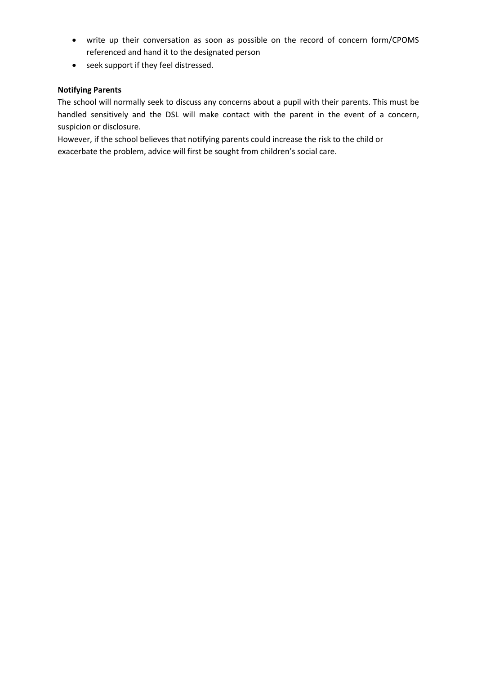- write up their conversation as soon as possible on the record of concern form/CPOMS referenced and hand it to the designated person
- seek support if they feel distressed.

# **Notifying Parents**

The school will normally seek to discuss any concerns about a pupil with their parents. This must be handled sensitively and the DSL will make contact with the parent in the event of a concern, suspicion or disclosure.

However, if the school believes that notifying parents could increase the risk to the child or exacerbate the problem, advice will first be sought from children's social care.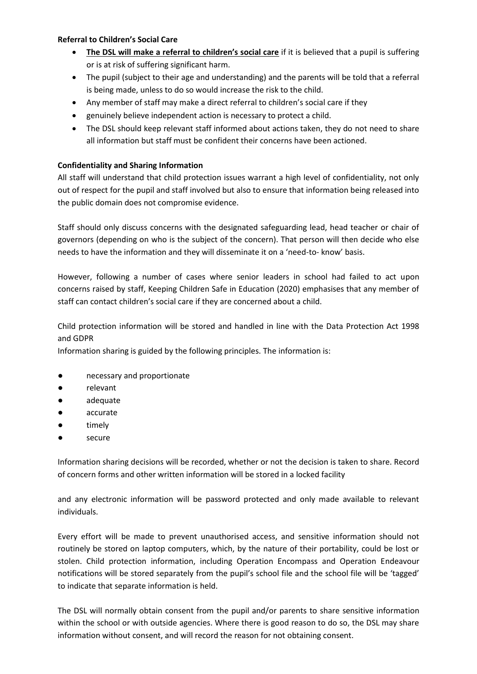# **Referral to Children's Social Care**

- **The DSL will make a referral to children's social care** if it is believed that a pupil is suffering or is at risk of suffering significant harm.
- The pupil (subject to their age and understanding) and the parents will be told that a referral is being made, unless to do so would increase the risk to the child.
- Any member of staff may make a direct referral to children's social care if they
- genuinely believe independent action is necessary to protect a child.
- The DSL should keep relevant staff informed about actions taken, they do not need to share all information but staff must be confident their concerns have been actioned.

# **Confidentiality and Sharing Information**

All staff will understand that child protection issues warrant a high level of confidentiality, not only out of respect for the pupil and staff involved but also to ensure that information being released into the public domain does not compromise evidence.

Staff should only discuss concerns with the designated safeguarding lead, head teacher or chair of governors (depending on who is the subject of the concern). That person will then decide who else needs to have the information and they will disseminate it on a 'need-to- know' basis.

However, following a number of cases where senior leaders in school had failed to act upon concerns raised by staff, Keeping Children Safe in Education (2020) emphasises that any member of staff can contact children's social care if they are concerned about a child.

Child protection information will be stored and handled in line with the Data Protection Act 1998 and GDPR

Information sharing is guided by the following principles. The information is:

- necessary and proportionate
- relevant
- adequate
- accurate
- timely
- secure

Information sharing decisions will be recorded, whether or not the decision is taken to share. Record of concern forms and other written information will be stored in a locked facility

and any electronic information will be password protected and only made available to relevant individuals.

Every effort will be made to prevent unauthorised access, and sensitive information should not routinely be stored on laptop computers, which, by the nature of their portability, could be lost or stolen. Child protection information, including Operation Encompass and Operation Endeavour notifications will be stored separately from the pupil's school file and the school file will be 'tagged' to indicate that separate information is held.

The DSL will normally obtain consent from the pupil and/or parents to share sensitive information within the school or with outside agencies. Where there is good reason to do so, the DSL may share information without consent, and will record the reason for not obtaining consent.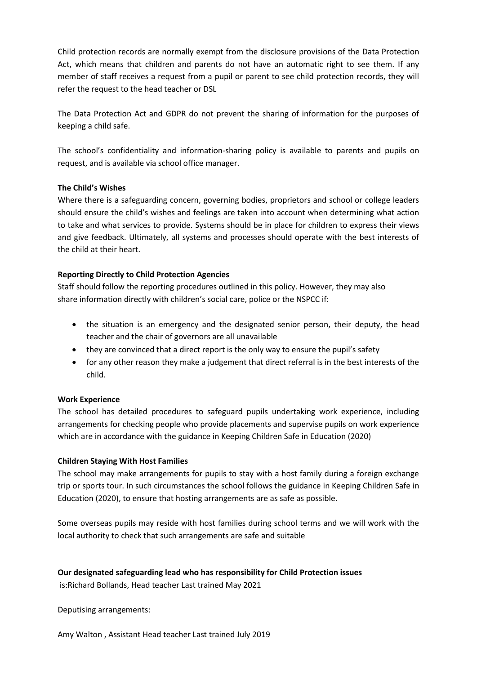Child protection records are normally exempt from the disclosure provisions of the Data Protection Act, which means that children and parents do not have an automatic right to see them. If any member of staff receives a request from a pupil or parent to see child protection records, they will refer the request to the head teacher or DSL

The Data Protection Act and GDPR do not prevent the sharing of information for the purposes of keeping a child safe.

The school's confidentiality and information-sharing policy is available to parents and pupils on request, and is available via school office manager.

#### **The Child's Wishes**

Where there is a safeguarding concern, governing bodies, proprietors and school or college leaders should ensure the child's wishes and feelings are taken into account when determining what action to take and what services to provide. Systems should be in place for children to express their views and give feedback. Ultimately, all systems and processes should operate with the best interests of the child at their heart.

#### **Reporting Directly to Child Protection Agencies**

Staff should follow the reporting procedures outlined in this policy. However, they may also share information directly with children's social care, police or the NSPCC if:

- the situation is an emergency and the designated senior person, their deputy, the head teacher and the chair of governors are all unavailable
- they are convinced that a direct report is the only way to ensure the pupil's safety
- for any other reason they make a judgement that direct referral is in the best interests of the child.

#### **Work Experience**

The school has detailed procedures to safeguard pupils undertaking work experience, including arrangements for checking people who provide placements and supervise pupils on work experience which are in accordance with the guidance in Keeping Children Safe in Education (2020)

#### **Children Staying With Host Families**

The school may make arrangements for pupils to stay with a host family during a foreign exchange trip or sports tour. In such circumstances the school follows the guidance in Keeping Children Safe in Education (2020), to ensure that hosting arrangements are as safe as possible.

Some overseas pupils may reside with host families during school terms and we will work with the local authority to check that such arrangements are safe and suitable

**Our designated safeguarding lead who has responsibility for Child Protection issues**

is:Richard Bollands, Head teacher Last trained May 2021

Deputising arrangements:

Amy Walton , Assistant Head teacher Last trained July 2019